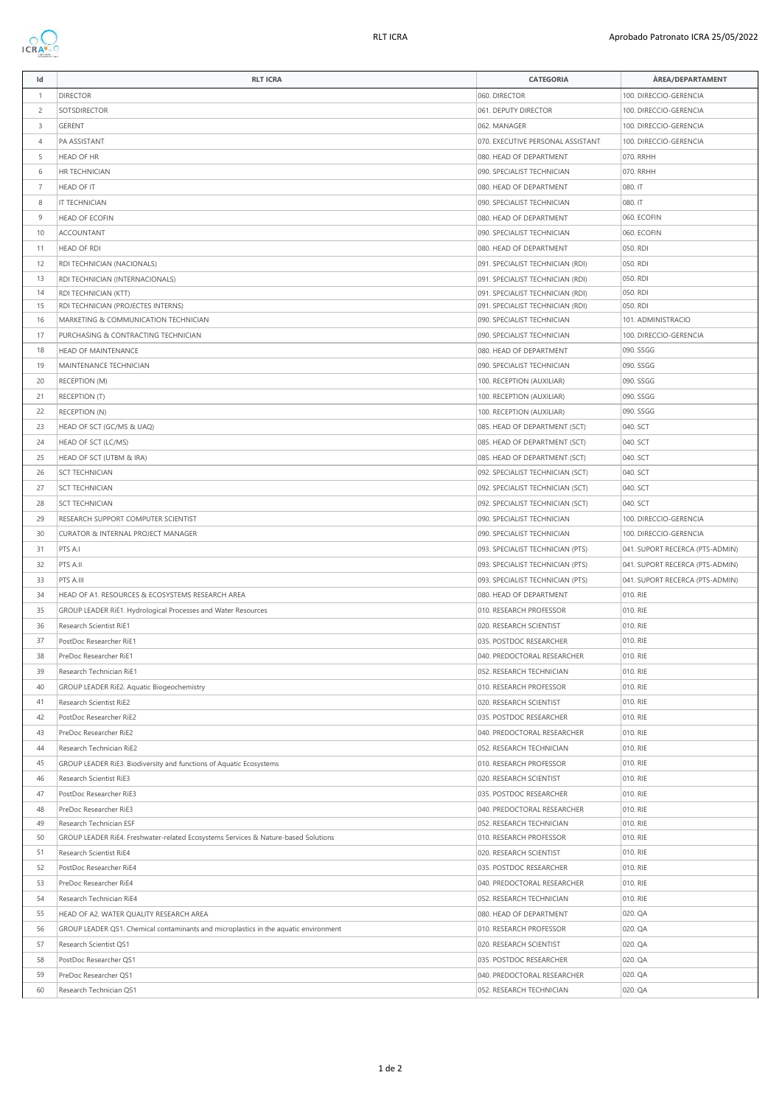

| Id             | <b>RLT ICRA</b>                                                                      | <b>CATEGORIA</b>                                                     | ÀREA/DEPARTAMENT                |
|----------------|--------------------------------------------------------------------------------------|----------------------------------------------------------------------|---------------------------------|
| $\overline{1}$ | <b>DIRECTOR</b>                                                                      | 060. DIRECTOR                                                        | 100. DIRECCIO-GERENCIA          |
| $\overline{c}$ | SOTSDIRECTOR                                                                         | 061. DEPUTY DIRECTOR                                                 | 100. DIRECCIO-GERENCIA          |
| 3              | GERENT                                                                               | 062. MANAGER                                                         | 100. DIRECCIO-GERENCIA          |
| $\overline{4}$ | PA ASSISTANT                                                                         | 070. EXECUTIVE PERSONAL ASSISTANT                                    | 100. DIRECCIO-GERENCIA          |
| 5              | <b>HEAD OF HR</b>                                                                    | 080. HEAD OF DEPARTMENT                                              | 070. RRHH                       |
| 6              | HR TECHNICIAN                                                                        | 090. SPECIALIST TECHNICIAN                                           | 070. RRHH                       |
| $\overline{7}$ | HEAD OF IT                                                                           | 080. HEAD OF DEPARTMENT                                              | 080.IT                          |
| 8              | IT TECHNICIAN                                                                        | 090. SPECIALIST TECHNICIAN                                           | 080.IT                          |
| 9              | HEAD OF ECOFIN                                                                       | 080. HEAD OF DEPARTMENT                                              | 060. ECOFIN                     |
| 10             | <b>ACCOUNTANT</b>                                                                    |                                                                      | 060. ECOFIN                     |
| 11             | <b>HEAD OF RDI</b>                                                                   | 090. SPECIALIST TECHNICIAN                                           |                                 |
|                |                                                                                      | 080. HEAD OF DEPARTMENT                                              | 050. RDI                        |
| 12             | RDI TECHNICIAN (NACIONALS)                                                           | 091. SPECIALIST TECHNICIAN (RDI)                                     | 050. RDI                        |
| 13<br>14       | RDI TECHNICIAN (INTERNACIONALS)<br>RDI TECHNICIAN (KTT)                              | 091. SPECIALIST TECHNICIAN (RDI)<br>091. SPECIALIST TECHNICIAN (RDI) | 050. RDI<br>050. RDI            |
| 15             | RDI TECHNICIAN (PROJECTES INTERNS)                                                   | 091. SPECIALIST TECHNICIAN (RDI)                                     | 050. RDI                        |
| 16             | MARKETING & COMMUNICATION TECHNICIAN                                                 | 090. SPECIALIST TECHNICIAN                                           | 101. ADMINISTRACIO              |
| 17             | PURCHASING & CONTRACTING TECHNICIAN                                                  | 090. SPECIALIST TECHNICIAN                                           | 100. DIRECCIO-GERENCIA          |
| 18             | <b>HEAD OF MAINTENANCE</b>                                                           | 080. HEAD OF DEPARTMENT                                              | 090. SSGG                       |
| 19             | MAINTENANCE TECHNICIAN                                                               | 090. SPECIALIST TECHNICIAN                                           | 090. SSGG                       |
| 20             | <b>RECEPTION (M)</b>                                                                 | 100. RECEPTION (AUXILIAR)                                            | 090. SSGG                       |
| 21             | <b>RECEPTION (T)</b>                                                                 | 100. RECEPTION (AUXILIAR)                                            | 090. SSGG                       |
| 22             | <b>RECEPTION (N)</b>                                                                 | 100. RECEPTION (AUXILIAR)                                            | 090. SSGG                       |
| 23             | HEAD OF SCT (GC/MS & UAQ)                                                            | 085. HEAD OF DEPARTMENT (SCT)                                        | 040. SCT                        |
| 24             | HEAD OF SCT (LC/MS)                                                                  | 085. HEAD OF DEPARTMENT (SCT)                                        | 040. SCT                        |
| 25             | HEAD OF SCT (UTBM & IRA)                                                             | 085. HEAD OF DEPARTMENT (SCT)                                        | 040. SCT                        |
| 26             | <b>SCT TECHNICIAN</b>                                                                | 092. SPECIALIST TECHNICIAN (SCT)                                     | 040. SCT                        |
| 27             | <b>SCT TECHNICIAN</b>                                                                | 092. SPECIALIST TECHNICIAN (SCT)                                     | 040. SCT                        |
| 28             | <b>SCT TECHNICIAN</b>                                                                | 092. SPECIALIST TECHNICIAN (SCT)                                     | 040. SCT                        |
| 29             | RESEARCH SUPPORT COMPUTER SCIENTIST                                                  | 090. SPECIALIST TECHNICIAN                                           | 100. DIRECCIO-GERENCIA          |
| 30             | CURATOR & INTERNAL PROJECT MANAGER                                                   | 090. SPECIALIST TECHNICIAN                                           | 100. DIRECCIO-GERENCIA          |
| 31             | PTS A.I                                                                              | 093. SPECIALIST TECHNICIAN (PTS)                                     | 041. SUPORT RECERCA (PTS-ADMIN) |
| 32             | PTS A.II                                                                             | 093. SPECIALIST TECHNICIAN (PTS)                                     | 041. SUPORT RECERCA (PTS-ADMIN) |
| 33             | PTS A.III                                                                            | 093. SPECIALIST TECHNICIAN (PTS)                                     | 041. SUPORT RECERCA (PTS-ADMIN) |
| 34             | HEAD OF A1. RESOURCES & ECOSYSTEMS RESEARCH AREA                                     | 080. HEAD OF DEPARTMENT                                              | 010. RIE                        |
| 35             | GROUP LEADER RiE1. Hydrological Processes and Water Resources                        | 010. RESEARCH PROFESSOR                                              | 010. RIE                        |
| 36             | Research Scientist RiE1                                                              | 020. RESEARCH SCIENTIST                                              | 010. RIE                        |
| 37             | PostDoc Researcher RiE1                                                              | 035. POSTDOC RESEARCHER                                              | 010. RIE                        |
| 38             | PreDoc Researcher RiE1                                                               | 040. PREDOCTORAL RESEARCHER                                          | 010. RIE                        |
| 39             | Research Technician RiE1                                                             | 052. RESEARCH TECHNICIAN                                             | 010. RIE                        |
| 40             | GROUP LEADER RiE2. Aquatic Biogeochemistry                                           | 010. RESEARCH PROFESSOR                                              | 010. RIE                        |
| 41             | Research Scientist RiE2                                                              | 020. RESEARCH SCIENTIST                                              | 010. RIE                        |
| 42             | PostDoc Researcher RiE2                                                              | 035. POSTDOC RESEARCHER                                              | 010. RIE                        |
| 43             | PreDoc Researcher RiE2                                                               | 040. PREDOCTORAL RESEARCHER                                          | 010. RIE                        |
| 44             | Research Technician RiE2                                                             | 052. RESEARCH TECHNICIAN                                             | 010. RIE                        |
| 45             | GROUP LEADER RIE3. Biodiversity and functions of Aquatic Ecosystems                  | 010. RESEARCH PROFESSOR                                              | 010. RIE                        |
| 46             | Research Scientist RiE3                                                              | 020. RESEARCH SCIENTIST                                              | 010. RIE                        |
| 47             | PostDoc Researcher RiE3                                                              | 035. POSTDOC RESEARCHER                                              | 010. RIE                        |
| 48             | PreDoc Researcher RiE3                                                               | 040. PREDOCTORAL RESEARCHER                                          | 010. RIE                        |
| 49             | Research Technician ESF                                                              | 052. RESEARCH TECHNICIAN                                             | 010. RIE                        |
| 50             | GROUP LEADER RiE4. Freshwater-related Ecosystems Services & Nature-based Solutions   | 010. RESEARCH PROFESSOR                                              | 010. RIE                        |
| 51             | Research Scientist RiE4                                                              | 020. RESEARCH SCIENTIST                                              | 010. RIE                        |
| 52             | PostDoc Researcher RiE4                                                              | 035. POSTDOC RESEARCHER                                              | 010. RIE                        |
| 53             | PreDoc Researcher RiE4                                                               | 040. PREDOCTORAL RESEARCHER                                          | 010. RIE                        |
| 54             | Research Technician RiE4                                                             | 052. RESEARCH TECHNICIAN                                             | 010. RIE                        |
| 55             | HEAD OF A2. WATER QUALITY RESEARCH AREA                                              | 080. HEAD OF DEPARTMENT                                              | 020. QA                         |
| 56             | GROUP LEADER QS1. Chemical contaminants and microplastics in the aquatic environment | 010. RESEARCH PROFESSOR                                              | 020. QA                         |
| 57             | Research Scientist QS1                                                               | 020. RESEARCH SCIENTIST                                              | 020. QA                         |
| 58             | PostDoc Researcher QS1                                                               | 035. POSTDOC RESEARCHER                                              | 020. QA                         |
| 59             | PreDoc Researcher QS1                                                                | 040. PREDOCTORAL RESEARCHER                                          | 020. QA                         |
| 60             | Research Technician QS1                                                              | 052. RESEARCH TECHNICIAN                                             | 020. QA                         |